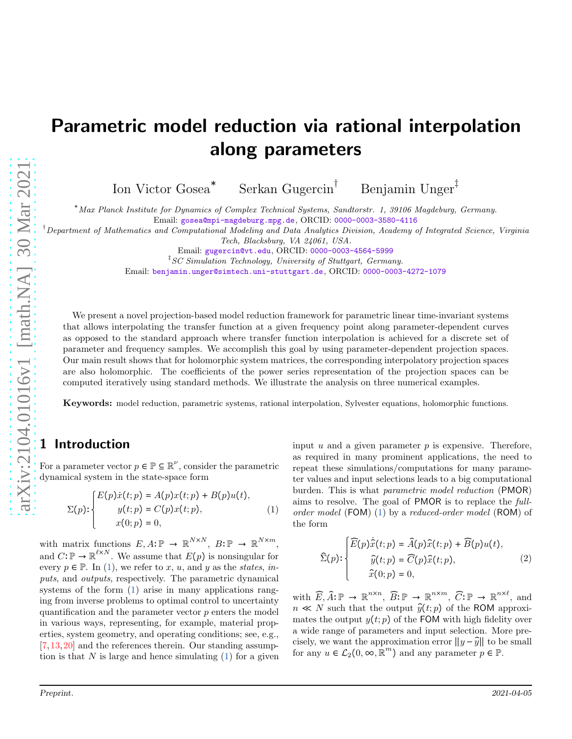# Parametric model reduction via rational interpolation along parameters

Ion Victor Gosea<sup>∗</sup> Serkan Gugercin<sup>†</sup> Benjamin Unger<sup>‡</sup>

<sup>∗</sup>Max Planck Institute for Dynamics of Complex Technical Systems, Sandtorstr. 1, 39106 Magdeburg, Germany. Email: [gosea@mpi-magdeburg.mpg.de](mailto:gosea@mpi-magdeburg.mpg.de), ORCID: [0000-0003-3580-4116](https://orcid.org/0000-0003-3580-4116)

†Department of Mathematics and Computational Modeling and Data Analytics Division, Academy of Integrated Science, Virginia

Tech, Blacksburg, VA 24061, USA.

‡ SC Simulation Technology, University of Stuttgart, Germany.

Email: [benjamin.unger@simtech.uni-stuttgart.de](mailto:benjamin.unger@simtech.uni-stuttgart.de), ORCID: [0000-0003-4272-1079](https://orcid.org/0000-0003-4272-1079)

We present a novel projection-based model reduction framework for parametric linear time-invariant systems that allows interpolating the transfer function at a given frequency point along parameter-dependent curves as opposed to the standard approach where transfer function interpolation is achieved for a discrete set of parameter and frequency samples. We accomplish this goal by using parameter-dependent projection spaces. Our main result shows that for holomorphic system matrices, the corresponding interpolatory projection spaces are also holomorphic. The coefficients of the power series representation of the projection spaces can be computed iteratively using standard methods. We illustrate the analysis on three numerical examples.

Keywords: model reduction, parametric systems, rational interpolation, Sylvester equations, holomorphic functions.

# 1 Introduction

For a parameter vector  $p \in \mathbb{P} \subseteq \mathbb{R}^{\nu}$ , consider the parametric dynamical system in the state-space form

$$
\Sigma(p) : \begin{cases} E(p)\dot{x}(t;p) = A(p)x(t;p) + B(p)u(t), \\ y(t;p) = C(p)x(t;p), \\ x(0;p) = 0, \end{cases}
$$
 (1)

with matrix functions  $E, A: \mathbb{P} \to \mathbb{R}^{N \times N}$ ,  $B: \mathbb{P} \to \mathbb{R}^{N \times m}$ , and  $C: \mathbb{P} \to \mathbb{R}^{\ell \times N}$ . We assume that  $E(p)$  is nonsingular for every  $p \in \mathbb{P}$ . In [\(1\)](#page-0-0), we refer to x, u, and y as the states, inputs, and outputs, respectively. The parametric dynamical systems of the form  $(1)$  arise in many applications ranging from inverse problems to optimal control to uncertainty quantification and the parameter vector p enters the model in various ways, representing, for example, material properties, system geometry, and operating conditions; see, e.g., [\[7,](#page-7-0)[13,](#page-7-1)[20\]](#page-7-2) and the references therein. Our standing assumption is that  $N$  is large and hence simulating  $(1)$  for a given <span id="page-0-0"></span>input  $u$  and a given parameter  $p$  is expensive. Therefore, as required in many prominent applications, the need to repeat these simulations/computations for many parameter values and input selections leads to a big computational burden. This is what parametric model reduction (PMOR) aims to resolve. The goal of PMOR is to replace the fullorder model (FOM) [\(1\)](#page-0-0) by a reduced-order model (ROM) of the form

<span id="page-0-1"></span>
$$
\widehat{\Sigma}(p) : \begin{cases} \widehat{E}(p)\dot{\widehat{x}}(t;p) = \widehat{A}(p)\widehat{x}(t;p) + \widehat{B}(p)u(t), \\ \widehat{y}(t;p) = \widehat{C}(p)\widehat{x}(t;p), \\ \widehat{x}(0;p) = 0, \end{cases} \tag{2}
$$

with  $\widehat{E}, \widehat{A} : \mathbb{P} \to \mathbb{R}^{n \times n}$ ,  $\widehat{B} : \mathbb{P} \to \mathbb{R}^{n \times m}$ ,  $\widehat{C} : \mathbb{P} \to \mathbb{R}^{n \times \ell}$ , and  $n \ll N$  such that the output  $\hat{y}(t; p)$  of the ROM approximates the output  $y(t; p)$  of the FOM with high fidelity over a wide range of parameters and input selection. More precisely, we want the approximation error  $||y - \hat{y}||$  to be small for any  $u \in \mathcal{L}_2(0, \infty, \mathbb{R}^m)$  and any parameter  $p \in \mathbb{P}$ .

Email: [gugercin@vt.edu](mailto:gugercin@vt.edu), ORCID: [0000-0003-4564-5999](https://orcid.org/0000-0003-4564-5999)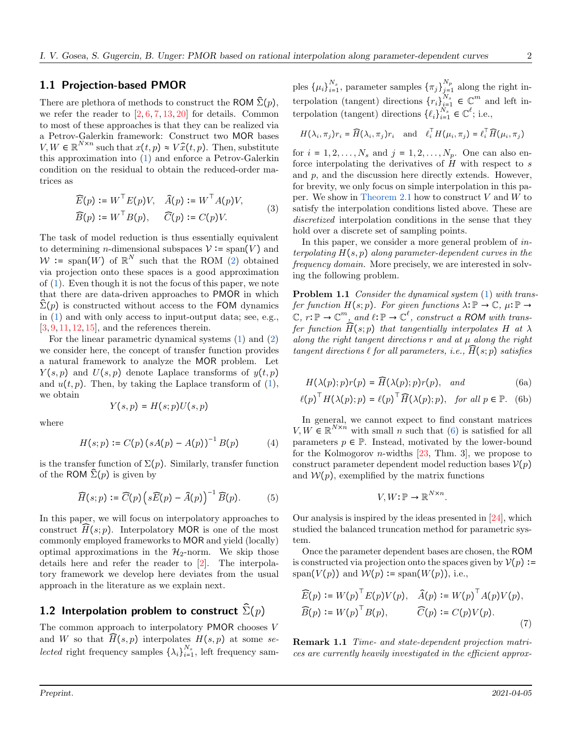#### 1.1 Projection-based PMOR

There are plethora of methods to construct the ROM  $\hat{\Sigma}(p)$ , we refer the reader to  $[2, 6, 7, 13, 20]$  $[2, 6, 7, 13, 20]$  $[2, 6, 7, 13, 20]$  $[2, 6, 7, 13, 20]$  $[2, 6, 7, 13, 20]$  $[2, 6, 7, 13, 20]$  $[2, 6, 7, 13, 20]$  $[2, 6, 7, 13, 20]$  for details. Common to most of these approaches is that they can be realized via a Petrov-Galerkin framework: Construct two MOR bases  $V, W \in \mathbb{R}^{N \times n}$  such that  $x(t, p) \approx V \hat{x}(t, p)$ . Then, substitute this approximation into [\(1\)](#page-0-0) and enforce a Petrov-Galerkin condition on the residual to obtain the reduced-order matrices as

<span id="page-1-1"></span>
$$
\widehat{E}(p) := W^{\top} E(p) V, \quad \widehat{A}(p) := W^{\top} A(p) V,
$$
  

$$
\widehat{B}(p) := W^{\top} B(p), \quad \widehat{C}(p) := C(p) V.
$$
 (3)

The task of model reduction is thus essentially equivalent to determining *n*-dimensional subspaces  $V := \text{span}(V)$  and  $W := \text{span}(W)$  of  $\mathbb{R}^N$  such that the ROM [\(2\)](#page-0-1) obtained via projection onto these spaces is a good approximation of [\(1\)](#page-0-0). Even though it is not the focus of this paper, we note that there are data-driven approaches to PMOR in which  $\Sigma(p)$  is constructed without access to the FOM dynamics in [\(1\)](#page-0-0) and with only access to input-output data; see, e.g.,  $[3, 9, 11, 12, 15]$  $[3, 9, 11, 12, 15]$  $[3, 9, 11, 12, 15]$  $[3, 9, 11, 12, 15]$  $[3, 9, 11, 12, 15]$  $[3, 9, 11, 12, 15]$  $[3, 9, 11, 12, 15]$  $[3, 9, 11, 12, 15]$  $[3, 9, 11, 12, 15]$ , and the references therein.

For the linear parametric dynamical systems [\(1\)](#page-0-0) and [\(2\)](#page-0-1) we consider here, the concept of transfer function provides a natural framework to analyze the MOR problem. Let  $Y(s, p)$  and  $U(s, p)$  denote Laplace transforms of  $y(t, p)$ and  $u(t, p)$ . Then, by taking the Laplace transform of  $(1)$ , we obtain

$$
Y(s,p) = H(s;p)U(s,p)
$$

where

$$
H(s; p) := C(p) (sA(p) - A(p))^{-1} B(p)
$$
 (4)

is the transfer function of  $\Sigma(p)$ . Similarly, transfer function of the ROM  $\hat{\Sigma}(p)$  is given by

$$
\widehat{H}(s; p) \coloneqq \widehat{C}(p) \left(s\widehat{E}(p) - \widehat{A}(p)\right)^{-1} \widehat{B}(p). \tag{5}
$$

In this paper, we will focus on interpolatory approaches to construct  $\overline{H}(s; p)$ . Interpolatory MOR is one of the most commonly employed frameworks to MOR and yield (locally) optimal approximations in the  $\mathcal{H}_2$ -norm. We skip those details here and refer the reader to [\[2\]](#page-7-3). The interpolatory framework we develop here deviates from the usual approach in the literature as we explain next.

## 1.2 Interpolation problem to construct  $\tilde{\Sigma}(p)$

The common approach to interpolatory PMOR chooses V and W so that  $\overline{H}(s,p)$  interpolates  $H(s,p)$  at some se*lected* right frequency samples  $\{\lambda_i\}_{i=1}^{N_s}$ , left frequency samples  $\{\mu_i\}_{i=1}^{N_s}$ , parameter samples  $\{\pi_j\}_{j=1}^{N_p}$  along the right interpolation (tangent) directions  ${r_i}_{i=1}^{N_s} \in \mathbb{C}^m$  and left interpolation (tangent) directions  $\{\ell_i\}_{i=1}^{N_s} \in \mathbb{C}^{\ell}$ ; i.e.,

$$
H(\lambda_i, \pi_j) r_i = \widehat{H}(\lambda_i, \pi_j) r_i \text{ and } \ell_i^{\top} H(\mu_i, \pi_j) = \ell_i^{\top} \widehat{H}(\mu_i, \pi_j)
$$

for  $i = 1, 2, ..., N_s$  and  $j = 1, 2, ..., N_p$ . One can also enforce interpolating the derivatives of  $H$  with respect to  $s$ and p, and the discussion here directly extends. However, for brevity, we only focus on simple interpolation in this pa-per. We show in [Theorem 2.1](#page-2-0) how to construct  $V$  and  $W$  to satisfy the interpolation conditions listed above. These are discretized interpolation conditions in the sense that they hold over a discrete set of sampling points.

In this paper, we consider a more general problem of interpolating  $H(s, p)$  along parameter-dependent curves in the frequency domain. More precisely, we are interested in solving the following problem.

<span id="page-1-3"></span>**Problem 1.1** Consider the dynamical system [\(1\)](#page-0-0) with transfer function  $H(s; p)$ . For given functions  $\lambda: \mathbb{P} \to \mathbb{C}$ ,  $\mu: \mathbb{P} \to$  $\mathbb{C}, r : \mathbb{P} \to \mathbb{C}^m$ , and  $\ell : \mathbb{P} \to \mathbb{C}^{\ell}$ , construct a ROM with transfer function  $\widehat{H}(s; p)$  that tangentially interpolates H at  $\lambda$ along the right tangent directions  $r$  and at  $\mu$  along the right tangent directions  $\ell$  for all parameters, i.e.,  $\widehat{H}(s; p)$  satisfies

<span id="page-1-0"></span>
$$
H(\lambda(p);p)r(p) = \widehat{H}(\lambda(p);p)r(p), \quad and \tag{6a}
$$

$$
\ell(p)^{\top} H(\lambda(p); p) = \ell(p)^{\top} \widehat{H}(\lambda(p); p), \text{ for all } p \in \mathbb{P}. \tag{6b}
$$

In general, we cannot expect to find constant matrices  $V, W \in \mathbb{R}^{N \times n}$  with small n such that [\(6\)](#page-1-0) is satisfied for all parameters  $p \in \mathbb{P}$ . Instead, motivated by the lower-bound for the Kolmogorov *n*-widths  $[23, Thm. 3]$ , we propose to construct parameter dependent model reduction bases  $V(p)$ and  $W(p)$ , exemplified by the matrix functions

<span id="page-1-2"></span>
$$
V, W \colon \mathbb{P} \to \mathbb{R}^{N \times n}.
$$

Our analysis is inspired by the ideas presented in [\[24\]](#page-7-11), which studied the balanced truncation method for parametric system.

Once the parameter dependent bases are chosen, the ROM is constructed via projection onto the spaces given by  $\mathcal{V}(p) :=$ span( $V(p)$ ) and  $W(p) := \text{span}(W(p))$ , i.e.,

$$
\widehat{E}(p) \coloneqq W(p)^{\top} E(p) V(p), \quad \widehat{A}(p) \coloneqq W(p)^{\top} A(p) V(p), \n\widehat{B}(p) \coloneqq W(p)^{\top} B(p), \qquad \widehat{C}(p) \coloneqq C(p) V(p). \tag{7}
$$

Remark 1.1 Time- and state-dependent projection matrices are currently heavily investigated in the efficient approx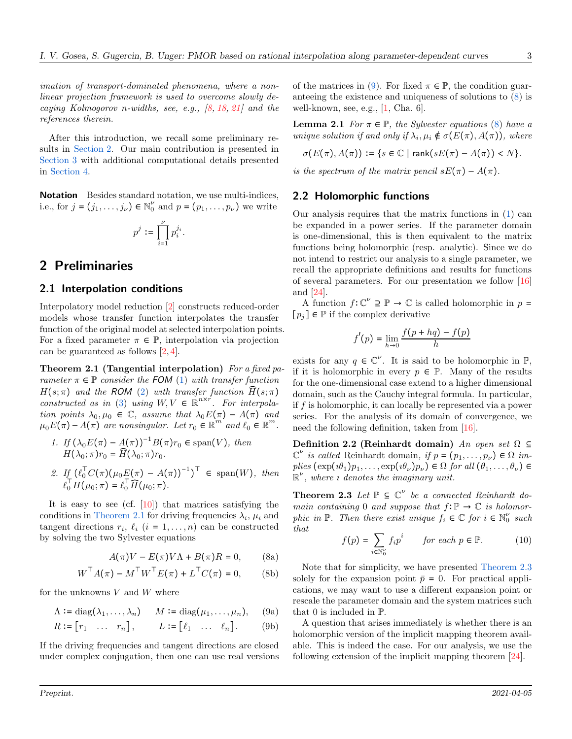imation of transport-dominated phenomena, where a nonlinear projection framework is used to overcome slowly decaying Kolmogorov n-widths, see, e.g.,  $[8, 18, 21]$  $[8, 18, 21]$  $[8, 18, 21]$  $[8, 18, 21]$  and the references therein.

After this introduction, we recall some preliminary results in [Section 2.](#page-2-1) Our main contribution is presented in [Section 3](#page-3-0) with additional computational details presented in [Section 4.](#page-3-1)

Notation Besides standard notation, we use multi-indices, i.e., for  $j = (j_1, ..., j_{\nu}) \in \mathbb{N}_0^{\nu}$  and  $p = (p_1, ..., p_{\nu})$  we write

$$
p^j\coloneqq \prod_{i=1}^\nu p_i^{j_i}.
$$

# <span id="page-2-1"></span>2 Preliminaries

#### 2.1 Interpolation conditions

Interpolatory model reduction [\[2\]](#page-7-3) constructs reduced-order models whose transfer function interpolates the transfer function of the original model at selected interpolation points. For a fixed parameter  $\pi \in \mathbb{P}$ , interpolation via projection can be guaranteed as follows [\[2,](#page-7-3) [4\]](#page-7-15).

Theorem 2.1 (Tangential interpolation) For a fixed parameter  $\pi \in \mathbb{P}$  consider the FOM [\(1\)](#page-0-0) with transfer function  $H(s; \pi)$  and the ROM [\(2\)](#page-0-1) with transfer function  $\tilde{H}(s; \pi)$ constructed as in [\(3\)](#page-1-1) using  $W, V \in \mathbb{R}^{n \times r}$ . For interpolation points  $\lambda_0, \mu_0 \in \mathbb{C}$ , assume that  $\lambda_0 E(\pi) - A(\pi)$  and  $\mu_0 E(\pi) - A(\pi)$  are nonsingular. Let  $r_0 \in \mathbb{R}^m$  and  $\ell_0 \in \mathbb{R}^m$ .

1. If 
$$
(\lambda_0 E(\pi) - A(\pi))^{-1} B(\pi) r_0 \in \text{span}(V)
$$
, then  $H(\lambda_0; \pi) r_0 = \widehat{H}(\lambda_0; \pi) r_0$ .

2. If  $(\ell_0^{\mathsf{T}} C(\pi)(\mu_0 \underline{E}(\pi) - A(\pi))^{-1})^{\mathsf{T}} \in \text{span}(W)$ , then  $\ell_0^{\mathsf{T}} H(\mu_0; \pi) = \ell_0^{\mathsf{T}} \widehat{H}(\mu_0; \pi).$ 

It is easy to see (cf.  $[10]$ ) that matrices satisfying the conditions in [Theorem 2.1](#page-2-0) for driving frequencies  $\lambda_i$ ,  $\mu_i$  and tangent directions  $r_i$ ,  $\ell_i$  ( $i = 1, ..., n$ ) can be constructed by solving the two Sylvester equations

<span id="page-2-3"></span><span id="page-2-2"></span>
$$
A(\pi)V - E(\pi)V\Lambda + B(\pi)R = 0, \qquad (8a)
$$

$$
WT A(\pi) - MT WT E(\pi) + LT C(\pi) = 0,
$$
 (8b)

for the unknowns  $V$  and  $W$  where

$$
\Lambda := \text{diag}(\lambda_1, \dots, \lambda_n) \qquad M := \text{diag}(\mu_1, \dots, \mu_n), \qquad (9a)
$$

$$
R := [r_1 \quad \dots \quad r_n], \qquad L := [\ell_1 \quad \dots \quad \ell_n]. \tag{9b}
$$

If the driving frequencies and tangent directions are closed under complex conjugation, then one can use real versions of the matrices in [\(9\)](#page-2-2). For fixed  $\pi \in \mathbb{P}$ , the condition guaranteeing the existence and uniqueness of solutions to [\(8\)](#page-2-3) is well-known, see, e.g.,  $[1,$  Cha. 6].

<span id="page-2-5"></span>**Lemma 2.1** For  $\pi \in \mathbb{P}$ , the Sylvester equations [\(8\)](#page-2-3) have a unique solution if and only if  $\lambda_i, \mu_i \notin \sigma(E(\pi), A(\pi))$ , where

$$
\sigma(E(\pi), A(\pi)) := \{ s \in \mathbb{C} \mid \text{rank}(sE(\pi) - A(\pi)) < N \}.
$$

is the spectrum of the matrix pencil  $sE(\pi) - A(\pi)$ .

#### 2.2 Holomorphic functions

Our analysis requires that the matrix functions in [\(1\)](#page-0-0) can be expanded in a power series. If the parameter domain is one-dimensional, this is then equivalent to the matrix functions being holomorphic (resp. analytic). Since we do not intend to restrict our analysis to a single parameter, we recall the appropriate definitions and results for functions of several parameters. For our presentation we follow [\[16\]](#page-7-18) and [\[24\]](#page-7-11).

A function  $f: \mathbb{C}^{\nu} \supseteq \mathbb{P} \to \mathbb{C}$  is called holomorphic in  $p =$  $[p_i] \in \mathbb{P}$  if the complex derivative

$$
f'(p) = \lim_{h \to 0} \frac{f(p + hq) - f(p)}{h}
$$

<span id="page-2-0"></span>exists for any  $q \in \mathbb{C}^{\nu}$ . It is said to be holomorphic in  $\mathbb{P}$ , if it is holomorphic in every  $p \in \mathbb{P}$ . Many of the results for the one-dimensional case extend to a higher dimensional domain, such as the Cauchy integral formula. In particular, if  $f$  is holomorphic, it can locally be represented via a power series. For the analysis of its domain of convergence, we need the following definition, taken from [\[16\]](#page-7-18).

Definition 2.2 (Reinhardt domain) An open set  $\Omega \subseteq$  $\mathbb{C}^{\nu}$  is called Reinhardt domain, if  $p = (p_1, \ldots, p_{\nu}) \in \Omega$  implies  $(\exp(\iota\theta_1)p_1,\ldots,\exp(\iota\theta_\nu)p_\nu) \in \Omega$  for all  $(\theta_1,\ldots,\theta_\nu) \in$  $\mathbb{R}^{\nu}$ , where *i* denotes the imaginary unit.

<span id="page-2-4"></span>**Theorem 2.3** Let  $\mathbb{P} \subseteq \mathbb{C}^{\nu}$  be a connected Reinhardt domain containing 0 and suppose that  $f: \mathbb{P} \to \mathbb{C}$  is holomorphic in  $\mathbb{P}$ . Then there exist unique  $f_i \in \mathbb{C}$  for  $i \in \mathbb{N}_0^{\nu}$  such that

$$
f(p) = \sum_{i \in \mathbb{N}_0^{\nu}} f_i p^i \qquad \text{for each } p \in \mathbb{P}.\tag{10}
$$

Note that for simplicity, we have presented [Theorem 2.3](#page-2-4) solely for the expansion point  $\bar{p} = 0$ . For practical applications, we may want to use a different expansion point or rescale the parameter domain and the system matrices such that 0 is included in P.

<span id="page-2-6"></span>A question that arises immediately is whether there is an holomorphic version of the implicit mapping theorem available. This is indeed the case. For our analysis, we use the following extension of the implicit mapping theorem [\[24\]](#page-7-11).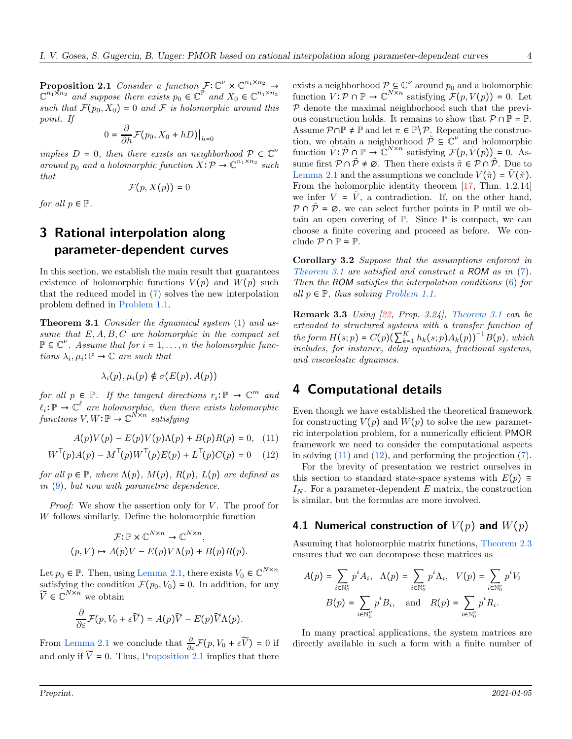**Proposition 2.1** Consider a function  $\mathcal{F}: \mathbb{C}^{\nu} \times \mathbb{C}^{n_1 \times n_2} \rightarrow$  $\mathbb{C}^{n_1 \times n_2}$  and suppose there exists  $p_0 \in \mathbb{C}^{\mathbb{P}}$  and  $X_0 \in \mathbb{C}^{n_1 \times n_2}$ such that  $\mathcal{F}(p_0, X_0) = 0$  and  $\mathcal F$  is holomorphic around this point. If

$$
0 = \frac{\partial}{\partial h} \mathcal{F}(p_0, X_0 + hD)|_{h=0}
$$

implies  $D = 0$ , then there exists an neighborhood  $P \subset \mathbb{C}^{\nu}$ around  $p_0$  and a holomorphic function  $X: \mathcal{P} \to \mathbb{C}^{n_1 \times n_2}$  such that

$$
\mathcal{F}(p, X(p)) = 0
$$

for all  $p \in \mathbb{P}$ .

# <span id="page-3-0"></span>3 Rational interpolation along parameter-dependent curves

In this section, we establish the main result that guarantees existence of holomorphic functions  $V(p)$  and  $W(p)$  such that the reduced model in [\(7\)](#page-1-2) solves the new interpolation problem defined in [Problem 1.1.](#page-1-3)

Theorem 3.1 Consider the dynamical system  $(1)$  and assume that  $E, A, B, C$  are holomorphic in the compact set  $\mathbb{P} \subseteq \mathbb{C}^{\nu}$ . Assume that for  $i = 1, ..., n$  the holomorphic functions  $\lambda_i, \mu_i : \mathbb{P} \to \mathbb{C}$  are such that

<span id="page-3-2"></span>
$$
\lambda_i(p), \mu_i(p) \notin \sigma(E(p), A(p))
$$

for all  $p \in \mathbb{P}$ . If the tangent directions  $r_i : \mathbb{P} \to \mathbb{C}^m$  and  $\ell_i \colon \mathbb{P} \to \mathbb{C}^{\ell}$  are holomorphic, then there exists holomorphic functions  $V, W: \mathbb{P} \to \mathbb{C}^{N \times n}$  satisfying

$$
A(p)V(p) - E(p)V(p)\Lambda(p) + B(p)R(p) = 0, \quad (11)
$$

$$
W^{\top}(p)A(p) - M^{\top}(p)W^{\top}(p)E(p) + L^{\top}(p)C(p) = 0 \quad (12)
$$

for all  $p \in \mathbb{P}$ , where  $\Lambda(p)$ ,  $M(p)$ ,  $R(p)$ ,  $L(p)$  are defined as in [\(9\)](#page-2-2), but now with parametric dependence.

*Proof:* We show the assertion only for V. The proof for W follows similarly. Define the holomorphic function

$$
\mathcal{F}: \mathbb{P} \times \mathbb{C}^{N \times n} \to \mathbb{C}^{N \times n},
$$
  
(p, V)  $\mapsto A(p)V - E(p)V\Lambda(p) + B(p)R(p)$ .

Let  $p_0 \in \mathbb{P}$ . Then, using [Lemma 2.1,](#page-2-5) there exists  $V_0 \in \mathbb{C}^{N \times n}$ satisfying the condition  $\mathcal{F}(p_0, V_0) = 0$ . In addition, for any  $\widetilde{V} \in \mathbb{C}^{N \times n}$  we obtain

$$
\frac{\partial}{\partial \varepsilon} \mathcal{F}(p, V_0 + \varepsilon \widetilde{V}) = A(p) \widetilde{V} - E(p) \widetilde{V} \Lambda(p).
$$

From [Lemma 2.1](#page-2-5) we conclude that  $\frac{\partial}{\partial \varepsilon}\mathcal{F}(p, V_0 + \varepsilon \widetilde{V}) = 0$  if and only if  $\widetilde{V} = 0$ . Thus, [Proposition 2.1](#page-2-6) implies that there

exists a neighborhood  $P \subseteq \mathbb{C}^{\nu}$  around  $p_0$  and a holomorphic function  $V: \mathcal{P} \cap \mathbb{P} \to \mathbb{C}^{N \times n}$  satisfying  $\mathcal{F}(p, V(p)) = 0$ . Let  $P$  denote the maximal neighborhood such that the previous construction holds. It remains to show that  $P \cap P = P$ . Assume  $P \cap \mathbb{P} \neq \mathbb{P}$  and let  $\pi \in \mathbb{P} \backslash \mathcal{P}$ . Repeating the construction, we obtain a neighborhood  $\tilde{\mathcal{P}} \subseteq \mathbb{C}^{\nu}$  and holomorphic function  $\tilde{V}: \tilde{\mathcal{P}} \cap \mathbb{P} \to \mathbb{C}^{N \times n}$  satisfying  $\mathcal{F}(p, \tilde{V}(p)) = 0$ . Assume first  $\mathcal{P} \cap \tilde{\mathcal{P}} \neq \emptyset$ . Then there exists  $\tilde{\pi} \in \mathcal{P} \cap \tilde{\mathcal{P}}$ . Due to [Lemma 2.1](#page-2-5) and the assumptions we conclude  $V(\tilde{\pi}) = V(\tilde{\pi})$ . From the holomorphic identity theorem [\[17,](#page-7-19) Thm. 1.2.14] we infer  $V = V$ , a contradiction. If, on the other hand,  $\mathcal{P} \cap \tilde{\mathcal{P}} = \emptyset$ , we can select further points in  $\mathbb{P}$  until we obtain an open covering of  $\mathbb{P}$ . Since  $\mathbb{P}$  is compact, we can choose a finite covering and proceed as before. We conclude  $\mathcal{P} \cap \mathbb{P} = \mathbb{P}$ .

Corollary 3.2 Suppose that the assumptions enforced in [Theorem 3.1](#page-3-2) are satisfied and construct a ROM as in [\(7\)](#page-1-2). Then the ROM satisfies the interpolation conditions [\(6\)](#page-1-0) for all  $p \in \mathbb{P}$ , thus solving [Problem 1.1.](#page-1-3)

Remark 3.3 Using [\[22,](#page-7-20) Prop. 3.24], [Theorem 3.1](#page-3-2) can be extended to structured systems with a transfer function of the form  $H(s; p) = C(p)(\sum_{k=1}^{K} h_k(s; p)A_k(p))^{-1}B(p)$ , which includes, for instance, delay equations, fractional systems, and viscoelastic dynamics.

# <span id="page-3-1"></span>4 Computational details

<span id="page-3-3"></span>Even though we have established the theoretical framework for constructing  $V(p)$  and  $W(p)$  to solve the new parametric interpolation problem, for a numerically efficient PMOR framework we need to consider the computational aspects in solving  $(11)$  and  $(12)$ , and performing the projection  $(7)$ .

<span id="page-3-4"></span>For the brevity of presentation we restrict ourselves in this section to standard state-space systems with  $E(p) \equiv$  $I_N$ . For a parameter-dependent E matrix, the construction is similar, but the formulas are more involved.

#### <span id="page-3-5"></span>4.1 Numerical construction of  $V(p)$  and  $W(p)$

Assuming that holomorphic matrix functions, [Theorem 2.3](#page-2-4) ensures that we can decompose these matrices as

$$
A(p) = \sum_{i \in \mathbb{N}_0^{\nu}} p^i A_i, \quad \Lambda(p) = \sum_{i \in \mathbb{N}_0^{\nu}} p^i \Lambda_i, \quad V(p) = \sum_{i \in \mathbb{N}_0^{\nu}} p^i V_i
$$

$$
B(p) = \sum_{i \in \mathbb{N}_0^{\nu}} p^i B_i, \quad \text{and} \quad R(p) = \sum_{i \in \mathbb{N}_0^{\nu}} p^i R_i.
$$

In many practical applications, the system matrices are directly available in such a form with a finite number of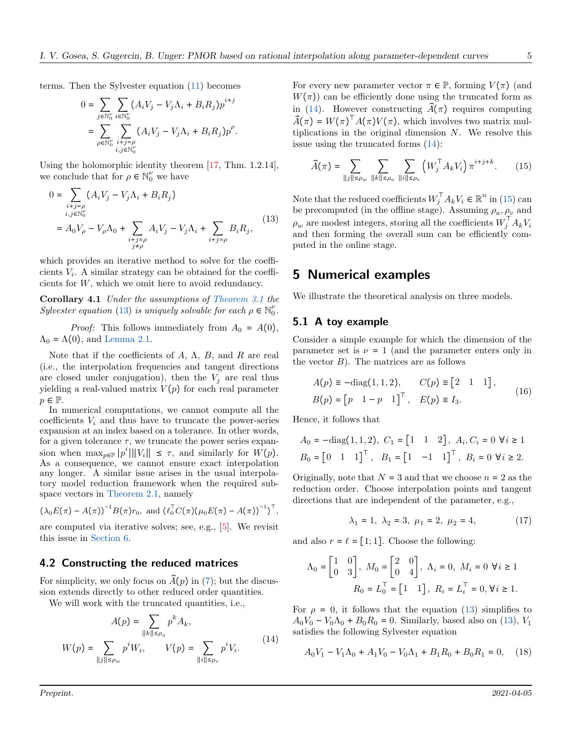terms. Then the Sylvester equation [\(11\)](#page-3-3) becomes

$$
0 = \sum_{j \in \mathbb{N}_0^\nu} \sum_{i \in \mathbb{N}_0^\nu} (A_i V_j - V_j \Lambda_i + B_i R_j) p^{i+j}
$$
  
= 
$$
\sum_{\rho \in \mathbb{N}_0^\nu} \sum_{\substack{i+j = \rho \\ i,j \in \mathbb{N}_0^\nu}} (A_i V_j - V_j \Lambda_i + B_i R_j) p^\rho.
$$

Using the holomorphic identity theorem [\[17,](#page-7-19) Thm. 1.2.14], we conclude that for  $\rho \in \mathbb{N}_0^{\nu}$  we have

$$
0 = \sum_{\substack{i+j=\rho \\ i,j \in \mathbb{N}_0^{\nu} \\ j \neq \rho}} (A_i V_j - V_j \Lambda_i + B_i R_j)
$$
  
=  $A_0 V_\rho - V_\rho \Lambda_0 + \sum_{\substack{i+j=\rho \\ j \neq \rho}} A_i V_j - V_j \Lambda_i + \sum_{i+j=\rho} B_i R_j,$  (13)

which provides an iterative method to solve for the coefficients  $V_i$ . A similar strategy can be obtained for the coefficients for W, which we omit here to avoid redundancy.

Corollary 4.1 Under the assumptions of [Theorem 3.1](#page-3-2) the Sylvester equation [\(13\)](#page-4-0) is uniquely solvable for each  $\rho \in \mathbb{N}_0^{\nu}$ .

*Proof:* This follows immediately from  $A_0 = A(0)$ ,  $\Lambda_0 = \Lambda(0)$ , and [Lemma 2.1.](#page-2-5)

Note that if the coefficients of A,  $\Lambda$ , B, and R are real (i.e., the interpolation frequencies and tangent directions are closed under conjugation), then the  $V_i$  are real thus yielding a real-valued matrix  $V(p)$  for each real parameter  $p \in \mathbb{P}$ .

In numerical computations, we cannot compute all the coefficients  $V_i$  and thus have to truncate the power-series expansion at an index based on a tolerance. In other words, for a given tolerance  $\tau$ , we truncate the power series expansion when  $\max_{p \in \mathbb{P}} |p^i| ||V_i|| \leq \tau$ , and similarly for  $W(p)$ . As a consequence, we cannot ensure exact interpolation any longer. A similar issue arises in the usual interpolatory model reduction framework when the required subspace vectors in [Theorem 2.1,](#page-2-0) namely

$$
(\lambda_0 E(\pi) - A(\pi))^{-1} B(\pi) r_0
$$
, and  $(\ell_0^{\top} C(\pi) (\mu_0 E(\pi) - A(\pi))^{-1})^{\top}$ ,

are computed via iterative solves; see, e.g., [\[5\]](#page-7-21). We revisit this issue in [Section 6.](#page-6-0)

#### <span id="page-4-4"></span>4.2 Constructing the reduced matrices

For simplicity, we only focus on  $\hat{A}(p)$  in [\(7\)](#page-1-2); but the discussion extends directly to other reduced order quantities.

We will work with the truncated quantities, *i.e.*,

$$
A(p) = \sum_{\|k\| \le \rho_a} p^k A_k,
$$
  

$$
W(p) = \sum_{\|j\| \le \rho_w} p^i W_i, \qquad V(p) = \sum_{\|i\| \le \rho_v} p^i V_i.
$$
 (14)

For every new parameter vector  $\pi \in \mathbb{P}$ , forming  $V(\pi)$  (and  $W(\pi)$  can be efficiently done using the truncated form as in [\(14\)](#page-4-1). However constructing  $\tilde{A}(\pi)$  requires computing  $\widehat{A}(\pi) = W(\pi)^{\top} A(\pi) V(\pi)$ , which involves two matrix multiplications in the original dimension  $N$ . We resolve this issue using the truncated forms [\(14\)](#page-4-1):

<span id="page-4-2"></span>
$$
\widehat{A}(\pi) = \sum_{\|j\| \le \rho_w} \sum_{\|k\| \le \rho_a} \sum_{\|i\| \le \rho_v} \left( W_j^{\top} A_k V_i \right) \pi^{i+j+k}.
$$
 (15)

<span id="page-4-0"></span>Note that the reduced coefficients  $W_j^\top A_k V_i \in \mathbb{R}^n$  in [\(15\)](#page-4-2) can be precomputed (in the offline stage). Assuming  $\rho_a, \rho_v$  and  $\rho_w$  are modest integers, storing all the coefficients  $W_j^{\top} A_k V_i$ and then forming the overall sum can be efficiently computed in the online stage.

#### 5 Numerical examples

We illustrate the theoretical analysis on three models.

#### 5.1 A toy example

Consider a simple example for which the dimension of the parameter set is  $\nu = 1$  (and the parameter enters only in the vector  $B$ ). The matrices are as follows

<span id="page-4-3"></span>
$$
A(p) \equiv -\text{diag}(1, 1, 2), \qquad C(p) \equiv [2 \quad 1 \quad 1],
$$
  
\n
$$
B(p) = [p \quad 1 - p \quad 1]^{\top}, \quad E(p) \equiv I_3.
$$
\n
$$
(16)
$$

Hence, it follows that

$$
A_0 = -\text{diag}(1, 1, 2), \ C_1 = \begin{bmatrix} 1 & 1 & 2 \end{bmatrix}, \ A_i, C_i = 0 \ \forall i \ge 1
$$

$$
B_0 = \begin{bmatrix} 0 & 1 & 1 \end{bmatrix}^\top, \ B_1 = \begin{bmatrix} 1 & -1 & 1 \end{bmatrix}^\top, \ B_i = 0 \ \forall i \ge 2.
$$

Originally, note that  $N = 3$  and that we choose  $n = 2$  as the reduction order. Choose interpolation points and tangent directions that are independent of the parameter, e.g.,

$$
\lambda_1 = 1, \ \lambda_2 = 3, \ \mu_1 = 2, \ \mu_2 = 4,\tag{17}
$$

and also  $r = \ell = [1; 1]$ . Choose the following:

$$
\Lambda_0 = \begin{bmatrix} 1 & 0 \\ 0 & 3 \end{bmatrix}, \ M_0 = \begin{bmatrix} 2 & 0 \\ 0 & 4 \end{bmatrix}, \ \Lambda_i = 0, \ M_i = 0 \ \forall i \ge 1
$$

$$
R_0 = L_0^{\mathsf{T}} = \begin{bmatrix} 1 & 1 \end{bmatrix}, \ R_i = L_i^{\mathsf{T}} = 0, \forall i \ge 1.
$$

<span id="page-4-1"></span>For  $\rho = 0$ , it follows that the equation [\(13\)](#page-4-0) simplifies to  $A_0V_0 - V_0\Lambda_0 + B_0R_0 = 0$ . Similarly, based also on [\(13\)](#page-4-0),  $V_1$ satisfies the following Sylvester equation

$$
A_0V_1 - V_1\Lambda_0 + A_1V_0 - V_0\Lambda_1 + B_1R_0 + B_0R_1 = 0, \quad (18)
$$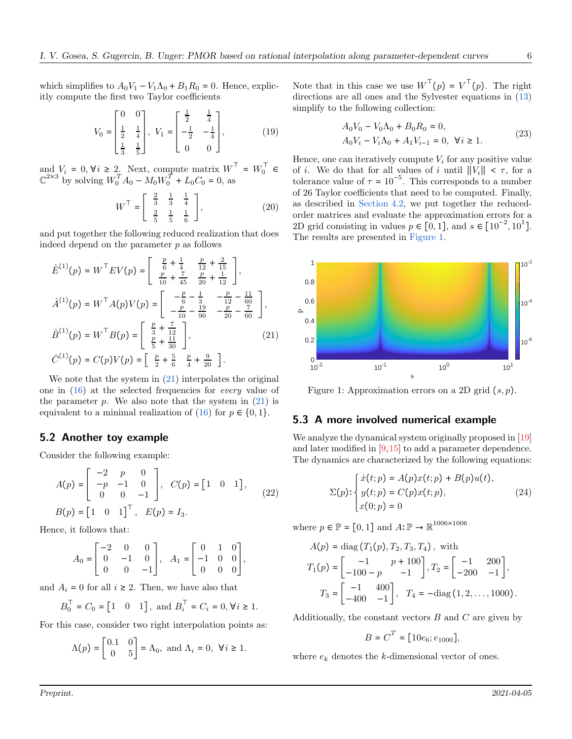which simplifies to  $A_0V_1 - V_1\Lambda_0 + B_1R_0 = 0$ . Hence, explicitly compute the first two Taylor coefficients

$$
V_0 = \begin{bmatrix} 0 & 0 \\ \frac{1}{2} & \frac{1}{4} \\ \frac{1}{3} & \frac{1}{5} \end{bmatrix}, \ V_1 = \begin{bmatrix} \frac{1}{2} & \frac{1}{4} \\ -\frac{1}{2} & -\frac{1}{4} \\ 0 & 0 \end{bmatrix}, \tag{19}
$$

and  $V_i = 0, \forall i \geq 2$ . Next, compute matrix  $W^{\top} = W_0^{\top} \in$  $\mathbb{C}^{2\times 3}$  by solving  $W_0^T A_0 - M_0 W_0^T + L_0 C_0 = 0$ , as

$$
W^{\top} = \begin{bmatrix} \frac{2}{3} & \frac{1}{3} & \frac{1}{4} \\ \frac{2}{5} & \frac{1}{5} & \frac{1}{6} \end{bmatrix},
$$
 (20)

and put together the following reduced realization that does indeed depend on the parameter  $p$  as follows

$$
\hat{E}^{(1)}(p) = W^{\top} E V(p) = \begin{bmatrix} \frac{p}{6} + \frac{1}{4} & \frac{p}{12} + \frac{2}{15} \\ \frac{p}{10} + \frac{7}{45} & \frac{p}{20} + \frac{1}{12} \end{bmatrix},
$$
  
\n
$$
\hat{A}^{(1)}(p) = W^{\top} A(p) V(p) = \begin{bmatrix} -\frac{p}{6} - \frac{1}{3} & -\frac{p}{12} - \frac{11}{60} \\ -\frac{p}{10} - \frac{19}{90} & -\frac{p}{20} - \frac{7}{60} \end{bmatrix},
$$
  
\n
$$
\hat{B}^{(1)}(p) = W^{\top} B(p) = \begin{bmatrix} \frac{p}{3} + \frac{7}{12} \\ \frac{p}{5} + \frac{11}{30} \end{bmatrix},
$$
  
\n
$$
\hat{C}^{(1)}(p) = C(p) V(p) = \begin{bmatrix} \frac{p}{2} + \frac{5}{6} & \frac{p}{4} + \frac{9}{20} \end{bmatrix}.
$$
  
\n(21)

We note that the system in  $(21)$  interpolates the original one in [\(16\)](#page-4-3) at the selected frequencies for every value of the parameter p. We also note that the system in  $(21)$  is equivalent to a minimal realization of  $(16)$  for  $p \in \{0, 1\}.$ 

#### 5.2 Another toy example

Consider the following example:

$$
A(p) = \begin{bmatrix} -2 & p & 0 \\ -p & -1 & 0 \\ 0 & 0 & -1 \end{bmatrix}, C(p) = \begin{bmatrix} 1 & 0 & 1 \end{bmatrix},
$$
  
\n
$$
B(p) = \begin{bmatrix} 1 & 0 & 1 \end{bmatrix}^T, E(p) = I_3.
$$
 (22)

Hence, it follows that:

$$
A_0 = \begin{bmatrix} -2 & 0 & 0 \\ 0 & -1 & 0 \\ 0 & 0 & -1 \end{bmatrix}, A_1 = \begin{bmatrix} 0 & 1 & 0 \\ -1 & 0 & 0 \\ 0 & 0 & 0 \end{bmatrix},
$$

and  $A_i = 0$  for all  $i \geq 2$ . Then, we have also that

$$
B_0^{\top} = C_0 = [1 \ 0 \ 1],
$$
 and  $B_i^{\top} = C_i = 0, \forall i \ge 1.$ 

For this case, consider two right interpolation points as:

$$
\Lambda(p) = \begin{bmatrix} 0.1 & 0 \\ 0 & 5 \end{bmatrix} = \Lambda_0, \text{ and } \Lambda_i = 0, \ \forall i \ge 1.
$$

Note that in this case we use  $W^{\top}(p) = V^{\top}(p)$ . The right directions are all ones and the Sylvester equations in [\(13\)](#page-4-0) simplify to the following collection:

$$
A_0V_0 - V_0\Lambda_0 + B_0R_0 = 0,
$$
  
\n
$$
A_0V_i - V_i\Lambda_0 + A_1V_{i-1} = 0, \ \forall i \ge 1.
$$
\n(23)

Hence, one can iteratively compute  $V_i$  for any positive value of i. We do that for all values of i until  $||V_i|| < \tau$ , for a tolerance value of  $\tau = 10^{-5}$ . This corresponds to a number of 26 Taylor coefficients that need to be computed. Finally, as described in [Section 4.2,](#page-4-4) we put together the reducedorder matrices and evaluate the approximation errors for a 2D grid consisting in values  $p \in [0,1]$ , and  $s \in [10^{-2}, 10^{1}]$ . The results are presented in [Figure 1.](#page-5-1)

<span id="page-5-1"></span>

<span id="page-5-0"></span>Figure 1: Approximation errors on a 2D grid  $(s, p)$ .

#### 5.3 A more involved numerical example

We analyze the dynamical system originally proposed in [\[19\]](#page-7-22) and later modified in [\[9,](#page-7-6)[15\]](#page-7-9) to add a parameter dependence. The dynamics are characterized by the following equations:

$$
\Sigma(p) : \begin{cases} \dot{x}(t;p) = A(p)x(t;p) + B(p)u(t), \\ y(t;p) = C(p)x(t;p), \\ x(0;p) = 0 \end{cases}
$$
 (24)

where  $p \in \mathbb{P} = [0, 1]$  and  $A: \mathbb{P} \to \mathbb{R}^{1006 \times 1006}$ 

$$
A(p) = \text{diag}(T_1(p), T_2, T_3, T_4), \text{ with}
$$
  
\n
$$
T_1(p) = \begin{bmatrix} -1 & p + 100 \\ -100 - p & -1 \end{bmatrix}, T_2 = \begin{bmatrix} -1 & 200 \\ -200 & -1 \end{bmatrix},
$$
  
\n
$$
T_3 = \begin{bmatrix} -1 & 400 \\ -400 & -1 \end{bmatrix}, T_4 = -\text{diag}(1, 2, ..., 1000).
$$

Additionally, the constant vectors  $B$  and  $C$  are given by

$$
B = C^T = [10e_6; e_{1000}],
$$

where  $e_k$  denotes the k-dimensional vector of ones.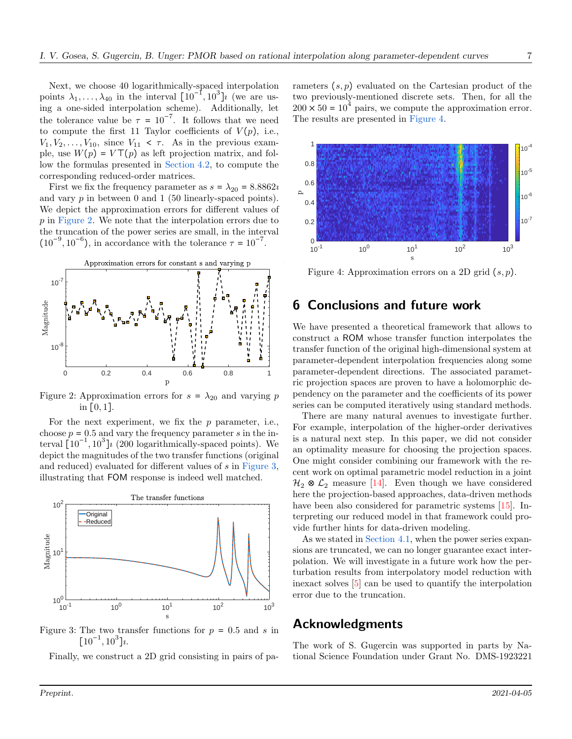Next, we choose 40 logarithmically-spaced interpolation points  $\lambda_1, \ldots, \lambda_{40}$  in the interval  $[10^{-1}, 10^3]$  (we are using a one-sided interpolation scheme). Additionally, let the tolerance value be  $\tau = 10^{-7}$ . It follows that we need to compute the first 11 Taylor coefficients of  $V(p)$ , i.e.,  $V_1, V_2, \ldots, V_{10}$ , since  $V_{11} < \tau$ . As in the previous example, use  $W(p) = V \top(p)$  as left projection matrix, and follow the formulas presented in [Section 4.2,](#page-4-4) to compute the corresponding reduced-order matrices.

First we fix the frequency parameter as  $s = \lambda_{20} = 8.8862i$ and vary  $p$  in between 0 and 1 (50 linearly-spaced points). We depict the approximation errors for different values of p in [Figure 2.](#page-6-1) We note that the interpolation errors due to the truncation of the power series are small, in the interval  $(10^{-9}, 10^{-6})$ , in accordance with the tolerance  $\tau = 10^{-7}$ .

<span id="page-6-1"></span>

Figure 2: Approximation errors for  $s = \lambda_{20}$  and varying p in  $[0, 1]$ .

For the next experiment, we fix the  $p$  parameter, i.e., choose  $p = 0.5$  and vary the frequency parameter s in the interval  $\left[10^{-1}, 10^3\right]$  (200 logarithmically-spaced points). We depict the magnitudes of the two transfer functions (original and reduced) evaluated for different values of s in [Figure 3,](#page-6-2) illustrating that FOM response is indeed well matched.

<span id="page-6-2"></span>

Figure 3: The two transfer functions for  $p = 0.5$  and s in  $[10^{-1}, 10^3]$ l.

Finally, we construct a 2D grid consisting in pairs of pa-

rameters  $(s, p)$  evaluated on the Cartesian product of the two previously-mentioned discrete sets. Then, for all the  $200 \times 50 = 10^4$  pairs, we compute the approximation error. The results are presented in [Figure 4.](#page-6-3)

<span id="page-6-3"></span>

Figure 4: Approximation errors on a 2D grid  $(s, p)$ .

# <span id="page-6-0"></span>6 Conclusions and future work

We have presented a theoretical framework that allows to construct a ROM whose transfer function interpolates the transfer function of the original high-dimensional system at parameter-dependent interpolation frequencies along some parameter-dependent directions. The associated parametric projection spaces are proven to have a holomorphic dependency on the parameter and the coefficients of its power series can be computed iteratively using standard methods.

There are many natural avenues to investigate further. For example, interpolation of the higher-order derivatives is a natural next step. In this paper, we did not consider an optimality measure for choosing the projection spaces. One might consider combining our framework with the recent work on optimal parametric model reduction in a joint  $\mathcal{H}_2 \otimes \mathcal{L}_2$  measure [\[14\]](#page-7-23). Even though we have considered here the projection-based approaches, data-driven methods have been also considered for parametric systems [\[15\]](#page-7-9). Interpreting our reduced model in that framework could provide further hints for data-driven modeling.

As we stated in [Section 4.1,](#page-3-5) when the power series expansions are truncated, we can no longer guarantee exact interpolation. We will investigate in a future work how the perturbation results from interpolatory model reduction with inexact solves [\[5\]](#page-7-21) can be used to quantify the interpolation error due to the truncation.

### Acknowledgments

The work of S. Gugercin was supported in parts by National Science Foundation under Grant No. DMS-1923221